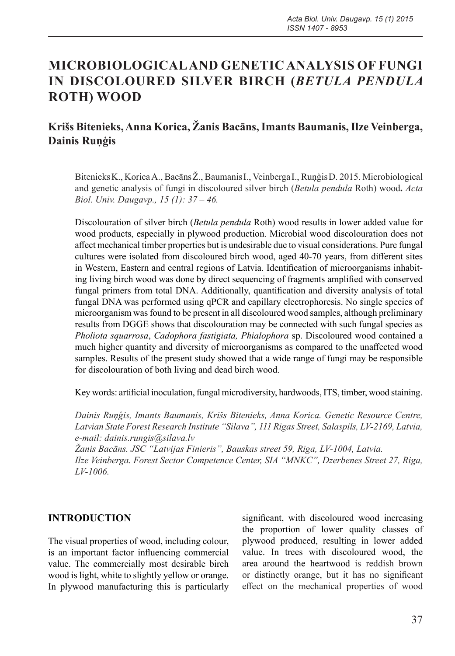## **MICROBIOLOGICAL AND GENETIC ANALYSIS OF FUNGI IN DISCOLOURED SILVER BIRCH (***BETULA PENDULA*  **ROTH) WOOD**

## **Krišs Bitenieks, Anna Korica, Žanis Bacāns, Imants Baumanis, Ilze Veinberga, Dainis Ruņģis**

BitenieksK., Korica A., BacānsŽ., BaumanisI., VeinbergaI., RuņģisD. 2015. Microbiological and genetic analysis of fungi in discoloured silver birch (*Betula pendula* Roth) wood**.** *Acta Biol. Univ. Daugavp., 15 (1): 37 – 46.*

Discolouration of silver birch (*Betula pendula* Roth) wood results in lower added value for wood products, especially in plywood production. Microbial wood discolouration does not affect mechanical timber properties but is undesirable due to visual considerations. Pure fungal cultures were isolated from discoloured birch wood, aged 40-70 years, from different sites in Western, Eastern and central regions of Latvia. Identification of microorganisms inhabiting living birch wood was done by direct sequencing of fragments amplified with conserved fungal primers from total DNA. Additionally, quantification and diversity analysis of total fungal DNA was performed using qPCR and capillary electrophoresis. No single species of microorganism was found to be present in all discoloured wood samples, although preliminary results from DGGE shows that discolouration may be connected with such fungal species as *Pholiota squarrosa*, *Cadophora fastigiata, Phialophora* sp. Discoloured wood contained a much higher quantity and diversity of microorganisms as compared to the unaffected wood samples. Results of the present study showed that a wide range of fungi may be responsible for discolouration of both living and dead birch wood.

Key words: artificial inoculation, fungal microdiversity, hardwoods, ITS, timber, wood staining.

*Dainis Ruņģis, Imants Baumanis, Krišs Bitenieks, Anna Korica. Genetic Resource Centre, Latvian State Forest Research Institute "Silava", 111 Rigas Street, Salaspils, LV-2169, Latvia, e-mail: dainis.rungis@silava.lv*

*Žanis Bacāns. JSC "Latvijas Finieris", Bauskas street 59, Riga, LV-1004, Latvia. Ilze Veinberga. Forest Sector Competence Center, SIA "MNKC", Dzerbenes Street 27, Riga, LV-1006.* 

#### **INTRODUCTION**

The visual properties of wood, including colour, is an important factor influencing commercial value. The commercially most desirable birch wood is light, white to slightly yellow or orange. In plywood manufacturing this is particularly

significant, with discoloured wood increasing the proportion of lower quality classes of plywood produced, resulting in lower added value. In trees with discoloured wood, the area around the heartwood is reddish brown or distinctly orange, but it has no significant effect on the mechanical properties of wood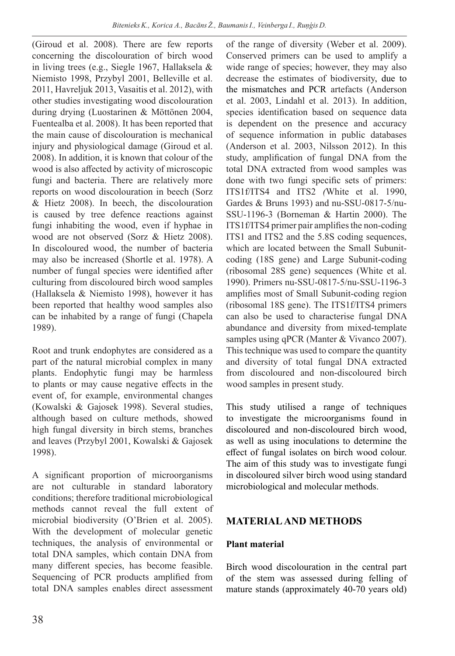(Giroud et al. 2008). There are few reports concerning the discolouration of birch wood in living trees (e.g., Siegle 1967, Hallaksela & Niemisto 1998, Przybyl 2001, Belleville et al. 2011, Havreljuk 2013, Vasaitis et al. 2012), with other studies investigating wood discolouration during drying (Luostarinen & Möttönen 2004, Fuentealba et al. 2008). It has been reported that the main cause of discolouration is mechanical injury and physiological damage (Giroud et al. 2008). In addition, it is known that colour of the wood is also affected by activity of microscopic fungi and bacteria. There are relatively more reports on wood discolouration in beech (Sorz & Hietz 2008). In beech, the discolouration is caused by tree defence reactions against fungi inhabiting the wood, even if hyphae in wood are not observed (Sorz & Hietz 2008). In discoloured wood, the number of bacteria may also be increased (Shortle et al. 1978). A number of fungal species were identified after culturing from discoloured birch wood samples (Hallaksela & Niemisto 1998), however it has been reported that healthy wood samples also can be inhabited by a range of fungi (Chapela 1989).

Root and trunk endophytes are considered as a part of the natural microbial complex in many plants. Endophytic fungi may be harmless to plants or may cause negative effects in the event of, for example, environmental changes (Kowalski & Gajosek 1998). Several studies, although based on culture methods, showed high fungal diversity in birch stems, branches and leaves (Przybyl 2001, Kowalski & Gajosek 1998).

A significant proportion of microorganisms are not culturable in standard laboratory conditions; therefore traditional microbiological methods cannot reveal the full extent of microbial biodiversity (O'Brien et al. 2005). With the development of molecular genetic techniques, the analysis of environmental or total DNA samples, which contain DNA from many different species, has become feasible. Sequencing of PCR products amplified from total DNA samples enables direct assessment

of the range of diversity (Weber et al. 2009). Conserved primers can be used to amplify a wide range of species; however, they may also decrease the estimates of biodiversity, due to the mismatches and PCR artefacts (Anderson et al. 2003, Lindahl et al. 2013). In addition, species identification based on sequence data is dependent on the presence and accuracy of sequence information in public databases (Anderson et al. 2003, Nilsson 2012). In this study, amplification of fungal DNA from the total DNA extracted from wood samples was done with two fungi specific sets of primers: ITS1f/ITS4 and ITS2 *(*White et al. 1990, Gardes & Bruns 1993) and nu-SSU-0817-5/nu-SSU-1196-3 (Borneman & Hartin 2000). The ITS1f/ITS4 primer pair amplifies the non-coding ITS1 and ITS2 and the 5.8S coding sequences, which are located between the Small Subunitcoding (18S gene) and Large Subunit-coding (ribosomal 28S gene) sequences (White et al. 1990). Primers nu-SSU-0817-5/nu-SSU-1196-3 amplifies most of Small Subunit-coding region (ribosomal 18S gene). The ITS1f/ITS4 primers can also be used to characterise fungal DNA abundance and diversity from mixed-template samples using qPCR (Manter & Vivanco 2007). This technique was used to compare the quantity and diversity of total fungal DNA extracted from discoloured and non-discoloured birch wood samples in present study.

This study utilised a range of techniques to investigate the microorganisms found in discoloured and non-discoloured birch wood, as well as using inoculations to determine the effect of fungal isolates on birch wood colour. The aim of this study was to investigate fungi in discoloured silver birch wood using standard microbiological and molecular methods.

## **MATERIAL AND METHODS**

## **Plant material**

Birch wood discolouration in the central part of the stem was assessed during felling of mature stands (approximately 40-70 years old)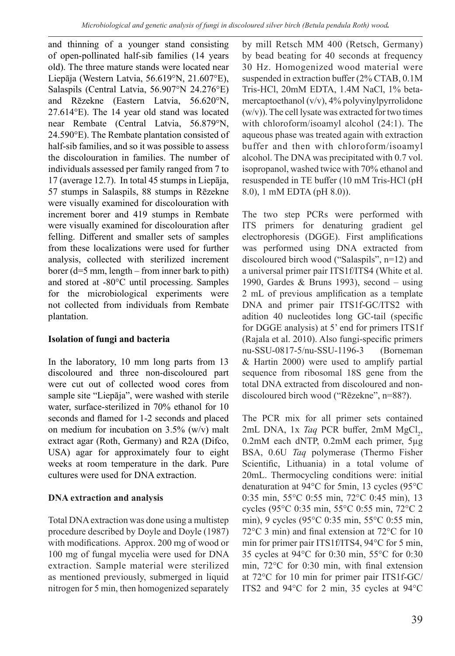and thinning of a younger stand consisting of open-pollinated half-sib families (14 years old). The three mature stands were located near Liepāja (Western Latvia, 56.619°N, 21.607°E), Salaspils (Central Latvia, 56.907°N 24.276°E) and Rēzekne (Eastern Latvia, 56.620°N, 27.614°E). The 14 year old stand was located near Rembate (Central Latvia, 56.879°N, 24.590°E). The Rembate plantation consisted of half-sib families, and so it was possible to assess the discolouration in families. The number of individuals assessed per family ranged from 7 to 17 (average 12.7). In total 45 stumps in Liepāja, 57 stumps in Salaspils, 88 stumps in Rēzekne were visually examined for discolouration with increment borer and 419 stumps in Rembate were visually examined for discolouration after felling. Different and smaller sets of samples from these localizations were used for further analysis, collected with sterilized increment borer (d=5 mm, length – from inner bark to pith) and stored at -80°C until processing. Samples for the microbiological experiments were not collected from individuals from Rembate plantation.

#### **Isolation of fungi and bacteria**

In the laboratory, 10 mm long parts from 13 discoloured and three non-discoloured part were cut out of collected wood cores from sample site "Liepāja", were washed with sterile water, surface-sterilized in 70% ethanol for 10 seconds and flamed for 1-2 seconds and placed on medium for incubation on 3.5% (w/v) malt extract agar (Roth, Germany) and R2A (Difco, USA) agar for approximately four to eight weeks at room temperature in the dark. Pure cultures were used for DNA extraction.

#### **DNA extraction and analysis**

Total DNA extraction was done using a multistep procedure described by Doyle and Doyle (1987) with modifications. Approx. 200 mg of wood or 100 mg of fungal mycelia were used for DNA extraction. Sample material were sterilized as mentioned previously, submerged in liquid nitrogen for 5 min, then homogenized separately

by mill Retsch MM 400 (Retsch, Germany) by bead beating for 40 seconds at frequency 30 Hz. Homogenized wood material were suspended in extraction buffer (2% CTAB, 0.1M Tris-HCl, 20mM EDTA, 1.4M NaCl, 1% betamercaptoethanol (v/v), 4% polyvinylpyrrolidone (w/v)). The cell lysate was extracted for two times with chloroform/isoamyl alcohol (24:1). The aqueous phase was treated again with extraction buffer and then with chloroform/isoamyl alcohol. The DNA was precipitated with 0.7 vol. isopropanol, washed twice with 70% ethanol and resuspended in TE buffer (10 mM Tris-HCl (pH 8.0), 1 mM EDTA (pH 8.0)).

The two step PCRs were performed with ITS primers for denaturing gradient gel electrophoresis (DGGE). First amplifications was performed using DNA extracted from discoloured birch wood ("Salaspils", n=12) and a universal primer pair ITS1f/ITS4 (White et al. 1990, Gardes & Bruns 1993), second – using 2 mL of previous amplification as a template DNA and primer pair ITS1f-GC/ITS2 with adition 40 nucleotides long GC-tail (specific for DGGE analysis) at 5' end for primers ITS1f (Rajala et al. 2010). Also fungi-specific primers nu-SSU-0817-5/nu-SSU-1196-3 (Borneman & Hartin 2000) were used to amplify partial sequence from ribosomal 18S gene from the total DNA extracted from discoloured and nondiscoloured birch wood ("Rēzekne", n=88?).

The PCR mix for all primer sets contained 2mL DNA, 1x *Taq* PCR buffer, 2mM MgCl<sub>2</sub>, 0.2mM each dNTP, 0.2mM each primer, 5µg BSA, 0.6U *Taq* polymerase (Thermo Fisher Scientific, Lithuania) in a total volume of 20mL. Thermocycling conditions were: initial denaturation at 94°C for 5min, 13 cycles (95°C 0:35 min, 55°C 0:55 min, 72°C 0:45 min), 13 cycles (95°C 0:35 min, 55°C 0:55 min, 72°C 2 min), 9 cycles (95°C 0:35 min, 55°C 0:55 min, 72°C 3 min) and final extension at 72°C for 10 min for primer pair ITS1f/ITS4, 94°C for 5 min, 35 cycles at 94°C for 0:30 min, 55°C for 0:30 min, 72°C for 0:30 min, with final extension at 72°C for 10 min for primer pair ITS1f-GC/ ITS2 and 94°C for 2 min, 35 cycles at 94°C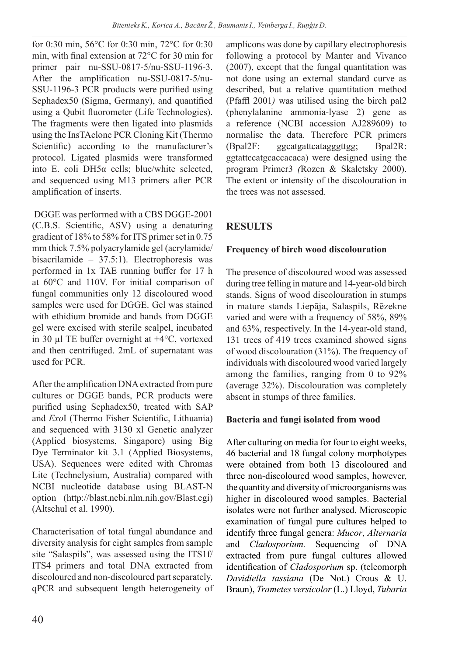for 0:30 min, 56°C for 0:30 min, 72°C for 0:30 min, with final extension at 72°C for 30 min for primer pair nu-SSU-0817-5/nu-SSU-1196-3. After the amplification nu-SSU-0817-5/nu-SSU-1196-3 PCR products were purified using Sephadex50 (Sigma, Germany), and quantified using a Qubit fluorometer (Life Technologies). The fragments were then ligated into plasmids using the InsTAclone PCR Cloning Kit (Thermo Scientific) according to the manufacturer's protocol. Ligated plasmids were transformed into E. coli DH5α cells; blue/white selected, and sequenced using M13 primers after PCR amplification of inserts.

 DGGE was performed with a CBS DGGE-2001 (C.B.S. Scientific, ASV) using a denaturing gradient of 18% to 58% for ITS primer set in 0.75 mm thick 7.5% polyacrylamide gel (acrylamide/ bisacrilamide – 37.5:1). Electrophoresis was performed in 1x TAE running buffer for 17 h at 60°C and 110V. For initial comparison of fungal communities only 12 discoloured wood samples were used for DGGE. Gel was stained with ethidium bromide and bands from DGGE gel were excised with sterile scalpel, incubated in 30 µl TE buffer overnight at +4°C, vortexed and then centrifuged. 2mL of supernatant was used for PCR.

After the amplification DNA extracted from pure cultures or DGGE bands, PCR products were purified using Sephadex50, treated with SAP and *Exo*I (Thermo Fisher Scientific, Lithuania) and sequenced with 3130 xl Genetic analyzer (Applied biosystems, Singapore) using Big Dye Terminator kit 3.1 (Applied Biosystems, USA). Sequences were edited with Chromas Lite (Technelysium, Australia) compared with NCBI nucleotide database using BLAST-N option (http://blast.ncbi.nlm.nih.gov/Blast.cgi) (Altschul et al. 1990).

Characterisation of total fungal abundance and diversity analysis for eight samples from sample site "Salaspils", was assessed using the ITS1f/ ITS4 primers and total DNA extracted from discoloured and non-discoloured part separately. qPCR and subsequent length heterogeneity of amplicons was done by capillary electrophoresis following a protocol by Manter and Vivanco (2007), except that the fungal quantitation was not done using an external standard curve as described, but a relative quantitation method (Pfaffl 2001*)* was utilised using the birch pal2 (phenylalanine ammonia-lyase 2) gene as a reference (NCBI accession AJ289609) to normalise the data. Therefore PCR primers (Bpal2F: ggcatgattcatagggttgg; Bpal2R: ggtattccatgcaccacaca) were designed using the program Primer3 *(*Rozen & Skaletsky 2000). The extent or intensity of the discolouration in the trees was not assessed.

# **RESULTS**

## **Frequency of birch wood discolouration**

The presence of discoloured wood was assessed during tree felling in mature and 14-year-old birch stands. Signs of wood discolouration in stumps in mature stands Liepāja, Salaspils, Rēzekne varied and were with a frequency of 58%, 89% and 63%, respectively. In the 14-year-old stand, 131 trees of 419 trees examined showed signs of wood discolouration (31%). The frequency of individuals with discoloured wood varied largely among the families, ranging from 0 to 92% (average 32%). Discolouration was completely absent in stumps of three families.

## **Bacteria and fungi isolated from wood**

After culturing on media for four to eight weeks, 46 bacterial and 18 fungal colony morphotypes were obtained from both 13 discoloured and three non-discoloured wood samples, however, the quantity and diversity of microorganisms was higher in discoloured wood samples. Bacterial isolates were not further analysed. Microscopic examination of fungal pure cultures helped to identify three fungal genera: *Mucor*, *Alternaria* and *Cladosporium.* Sequencing of DNA extracted from pure fungal cultures allowed identification of *Cladosporium* sp. (teleomorph *Davidiella tassiana* (De Not.) Crous & U. Braun), *Trametes versicolor* (L.) Lloyd, *Tubaria*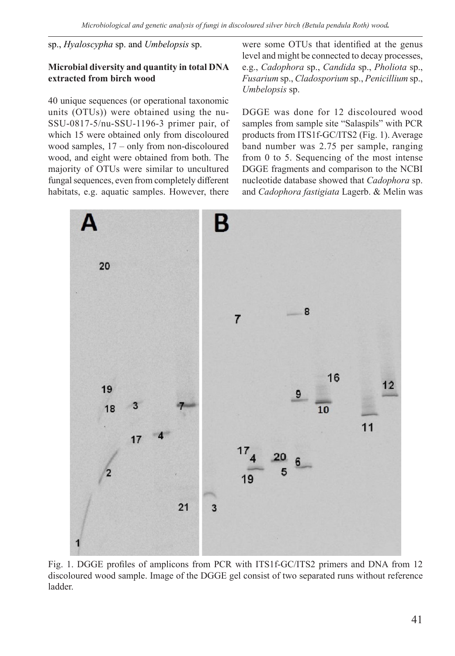sp., *Hyaloscypha* sp. and *Umbelopsis* sp.

#### **Microbial diversity and quantity in total DNA extracted from birch wood**

40 unique sequences (or operational taxonomic units (OTUs)) were obtained using the nu-SSU-0817-5/nu-SSU-1196-3 primer pair, of which 15 were obtained only from discoloured wood samples, 17 – only from non-discoloured wood, and eight were obtained from both. The majority of OTUs were similar to uncultured fungal sequences, even from completely different habitats, e.g. aquatic samples. However, there

were some OTUs that identified at the genus level and might be connected to decay processes, e.g., *Cadophora* sp., *Candida* sp., *Pholiota* sp., *Fusarium* sp., *Cladosporium* sp., *Penicillium* sp., *Umbelopsis* sp.

DGGE was done for 12 discoloured wood samples from sample site "Salaspils" with PCR products from ITS1f-GC/ITS2 (Fig. 1). Average band number was 2.75 per sample, ranging from 0 to 5. Sequencing of the most intense DGGE fragments and comparison to the NCBI nucleotide database showed that *Cadophora* sp. and *Cadophora fastigiata* Lagerb. & Melin was



Fig. 1. DGGE profiles of amplicons from PCR with ITS1f-GC/ITS2 primers and DNA from 12 discoloured wood sample. Image of the DGGE gel consist of two separated runs without reference ladder.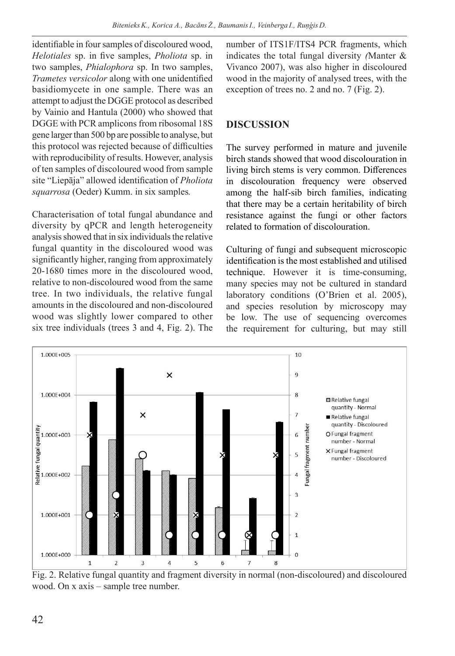identifiable in four samples of discoloured wood, *Helotiales* sp. in five samples, *Pholiota* sp. in two samples, *Phialophora* sp. In two samples, *Trametes versicolor* along with one unidentified basidiomycete in one sample. There was an attempt to adjust the DGGE protocol as described by Vainio and Hantula (2000) who showed that DGGE with PCR amplicons from ribosomal 18S gene larger than 500 bp are possible to analyse, but this protocol was rejected because of difficulties with reproducibility of results. However, analysis of ten samples of discoloured wood from sample site "Liepāja" allowed identification of *Pholiota squarrosa* (Oeder) Kumm. in six samples*.*

Characterisation of total fungal abundance and diversity by qPCR and length heterogeneity analysis showed that in six individuals the relative fungal quantity in the discoloured wood was significantly higher, ranging from approximately 20-1680 times more in the discoloured wood, relative to non-discoloured wood from the same tree. In two individuals, the relative fungal amounts in the discoloured and non-discoloured wood was slightly lower compared to other six tree individuals (trees 3 and 4, Fig. 2). The

number of ITS1F/ITS4 PCR fragments, which indicates the total fungal diversity *(*Manter & Vivanco 2007), was also higher in discoloured wood in the majority of analysed trees, with the exception of trees no. 2 and no. 7 (Fig. 2).

### **DISCUSSION**

The survey performed in mature and juvenile birch stands showed that wood discolouration in living birch stems is very common. Differences in discolouration frequency were observed among the half-sib birch families, indicating that there may be a certain heritability of birch resistance against the fungi or other factors related to formation of discolouration.

Culturing of fungi and subsequent microscopic identification is the most established and utilised technique. However it is time-consuming, many species may not be cultured in standard laboratory conditions (O'Brien et al. 2005), and species resolution by microscopy may be low. The use of sequencing overcomes the requirement for culturing, but may still



Fig. 2. Relative fungal quantity and fragment diversity in normal (non-discoloured) and discoloured wood. On x axis – sample tree number.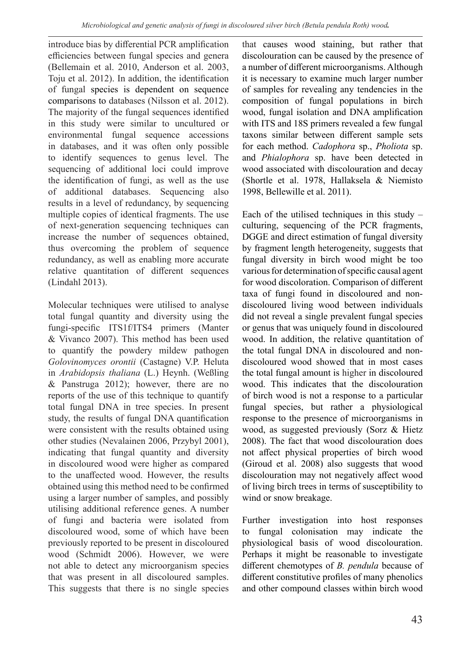introduce bias by differential PCR amplification efficiencies between fungal species and genera (Bellemain et al. 2010, Anderson et al. 2003, Toju et al. 2012). In addition, the identification of fungal species is dependent on sequence comparisons to databases (Nilsson et al. 2012). The majority of the fungal sequences identified in this study were similar to uncultured or environmental fungal sequence accessions in databases, and it was often only possible to identify sequences to genus level. The sequencing of additional loci could improve the identification of fungi, as well as the use of additional databases. Sequencing also results in a level of redundancy, by sequencing multiple copies of identical fragments. The use of next-generation sequencing techniques can increase the number of sequences obtained, thus overcoming the problem of sequence redundancy, as well as enabling more accurate relative quantitation of different sequences (Lindahl 2013).

Molecular techniques were utilised to analyse total fungal quantity and diversity using the fungi-specific ITS1f/ITS4 primers (Manter & Vivanco 2007). This method has been used to quantify the powdery mildew pathogen *Golovinomyces orontii* (Castagne) V.P. Heluta in *Arabidopsis thaliana* (L.) Heynh. (Weßling & Panstruga 2012); however, there are no reports of the use of this technique to quantify total fungal DNA in tree species. In present study, the results of fungal DNA quantification were consistent with the results obtained using other studies (Nevalainen 2006, Przybyl 2001), indicating that fungal quantity and diversity in discoloured wood were higher as compared to the unaffected wood. However, the results obtained using this method need to be confirmed using a larger number of samples, and possibly utilising additional reference genes. A number of fungi and bacteria were isolated from discoloured wood, some of which have been previously reported to be present in discoloured wood (Schmidt 2006). However, we were not able to detect any microorganism species that was present in all discoloured samples. This suggests that there is no single species

that causes wood staining, but rather that discolouration can be caused by the presence of a number of different microorganisms. Although it is necessary to examine much larger number of samples for revealing any tendencies in the composition of fungal populations in birch wood, fungal isolation and DNA amplification with ITS and 18S primers revealed a few fungal taxons similar between different sample sets for each method. *Cadophora* sp., *Pholiota* sp. and *Phialophora* sp. have been detected in wood associated with discolouration and decay (Shortle et al. 1978, Hallaksela & Niemisto 1998, Bellewille et al. 2011).

Each of the utilised techniques in this study  $$ culturing, sequencing of the PCR fragments, DGGE and direct estimation of fungal diversity by fragment length heterogeneity, suggests that fungal diversity in birch wood might be too various for determination of specific causal agent for wood discoloration. Comparison of different taxa of fungi found in discoloured and nondiscoloured living wood between individuals did not reveal a single prevalent fungal species or genus that was uniquely found in discoloured wood. In addition, the relative quantitation of the total fungal DNA in discoloured and nondiscoloured wood showed that in most cases the total fungal amount is higher in discoloured wood. This indicates that the discolouration of birch wood is not a response to a particular fungal species, but rather a physiological response to the presence of microorganisms in wood, as suggested previously (Sorz & Hietz 2008). The fact that wood discolouration does not affect physical properties of birch wood (Giroud et al. 2008) also suggests that wood discolouration may not negatively affect wood of living birch trees in terms of susceptibility to wind or snow breakage.

Further investigation into host responses to fungal colonisation may indicate the physiological basis of wood discolouration. Perhaps it might be reasonable to investigate different chemotypes of *B. pendula* because of different constitutive profiles of many phenolics and other compound classes within birch wood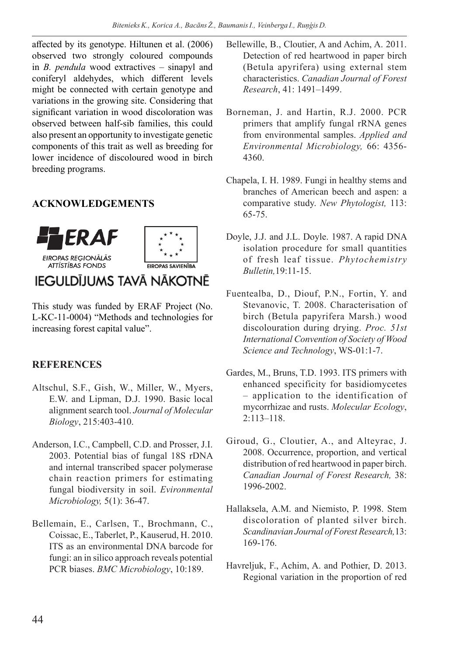affected by its genotype. Hiltunen et al. (2006) observed two strongly coloured compounds in *B. pendula* wood extractives – sinapyl and coniferyl aldehydes, which different levels might be connected with certain genotype and variations in the growing site. Considering that significant variation in wood discoloration was observed between half-sib families, this could also present an opportunity to investigate genetic components of this trait as well as breeding for lower incidence of discoloured wood in birch breeding programs.

## **ACKNOWLEDGEMENTS**



# IEGULDĪJUMS TAVĀ NĀKOTNĒ

This study was funded by ERAF Project (No. L-KC-11-0004) "Methods and technologies for increasing forest capital value".

#### **REFERENCES**

- Altschul, S.F., Gish, W., Miller, W., Myers, E.W. and Lipman, D.J. 1990. Basic local alignment search tool. *Journal of Molecular Biology*, 215:403-410.
- Anderson, I.C., Campbell, C.D. and Prosser, J.I. 2003. Potential bias of fungal 18S rDNA and internal transcribed spacer polymerase chain reaction primers for estimating fungal biodiversity in soil. *Evironmental Microbiology,* 5(1): 36-47.
- Bellemain, E., Carlsen, T., Brochmann, C., Coissac, E., Taberlet, P., Kauserud, H. 2010. ITS as an environmental DNA barcode for fungi: an in silico approach reveals potential PCR biases. *BMC Microbiology*, 10:189.
- Bellewille, B., Cloutier, A and Achim, A. 2011. Detection of red heartwood in paper birch (Betula apyrifera) using external stem characteristics. *Canadian Journal of Forest Research*, 41: 1491–1499.
- Borneman, J. and Hartin, R.J. 2000. PCR primers that amplify fungal rRNA genes from environmental samples. *Applied and Environmental Microbiology,* 66: 4356- 4360.
- Chapela, I. H. 1989. Fungi in healthy stems and branches of American beech and aspen: a comparative study. *New Phytologist,* 113: 65-75.
- Doyle, J.J. and J.L. Doyle. 1987. A rapid DNA isolation procedure for small quantities of fresh leaf tissue. *Phytochemistry Bulletin,*19:11-15.
- Fuentealba, D., Diouf, P.N., Fortin, Y. and Stevanovic, T. 2008. Characterisation of birch (Betula papyrifera Marsh.) wood discolouration during drying. *Proc. 51st International Convention of Society of Wood Science and Technology*, WS-01:1-7.
- Gardes, M., Bruns, T.D. 1993. ITS primers with enhanced specificity for basidiomycetes – application to the identification of mycorrhizae and rusts. *Molecular Ecology*, 2:113–118.
- Giroud, G., Cloutier, A., and Alteyrac, J. 2008. Occurrence, proportion, and vertical distribution of red heartwood in paper birch. *Canadian Journal of Forest Research,* 38: 1996-2002.
- Hallaksela, A.M. and Niemisto, P. 1998. Stem discoloration of planted silver birch. *Scandinavian Journal of Forest Research,*13: 169-176.
- Havreljuk, F., Achim, A. and Pothier, D. 2013. Regional variation in the proportion of red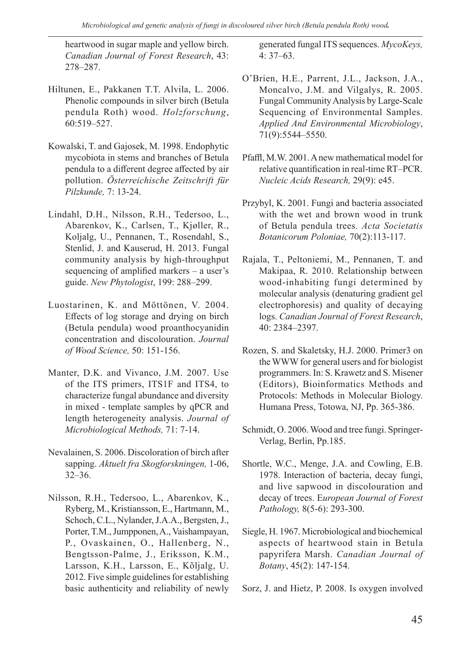heartwood in sugar maple and yellow birch. *Canadian Journal of Forest Research*, 43: 278–287.

- Hiltunen, E., Pakkanen T.T. Alvila, L. 2006. Phenolic compounds in silver birch (Betula pendula Roth) wood. *Holzforschung*, 60:519–527.
- Kowalski, T. and Gajosek, M. 1998. Endophytic mycobiota in stems and branches of Betula pendula to a different degree affected by air pollution. *Österreichische Zeitschrift für Pilzkunde,* 7: 13-24.
- Lindahl, D.H., Nilsson, R.H., Tedersoo, L., Abarenkov, K., Carlsen, T., Kjøller, R., Koljalg, U., Pennanen, T., Rosendahl, S., Stenlid, J. and Kauserud, H. 2013. Fungal community analysis by high-throughput sequencing of amplified markers – a user's guide. *New Phytologist*, 199: 288–299.
- Luostarinen, K. and Möttönen, V. 2004. Effects of log storage and drying on birch (Betula pendula) wood proanthocyanidin concentration and discolouration. *Journal of Wood Science,* 50: 151-156.
- Manter, D.K. and Vivanco, J.M. 2007. Use of the ITS primers, ITS1F and ITS4, to characterize fungal abundance and diversity in mixed - template samples by qPCR and length heterogeneity analysis. *Journal of Microbiological Methods,* 71: 7-14.
- Nevalainen, S. 2006. Discoloration of birch after sapping. *Aktuelt fra Skogforskningen,* 1-06, 32–36.
- Nilsson, R.H., Tedersoo, L., Abarenkov, K., Ryberg, M., Kristiansson, E., Hartmann, M., Schoch, C.L., Nylander, J.A.A., Bergsten, J., Porter, T.M., Jumpponen, A., Vaishampayan, P., Ovaskainen, O., Hallenberg, N., Bengtsson-Palme, J., Eriksson, K.M., Larsson, K.H., Larsson, E., Kõljalg, U. 2012. Five simple guidelines for establishing basic authenticity and reliability of newly

generated fungal ITS sequences. *MycoKeys,* 4: 37–63.

- O'Brien, H.E., Parrent, J.L., Jackson, J.A., Moncalvo, J.M. and Vilgalys, R. 2005. Fungal Community Analysis by Large-Scale Sequencing of Environmental Samples. *Applied And Environmental Microbiology*, 71(9):5544–5550.
- Pfaffl, M.W. 2001. A new mathematical model for relative quantification in real-time RT–PCR. *Nucleic Acids Research,* 29(9): e45.
- Przybyl, K. 2001. Fungi and bacteria associated with the wet and brown wood in trunk of Betula pendula trees. *Acta Societatis Botanicorum Poloniae,* 70(2):113-117.
- Rajala, T., Peltoniemi, M., Pennanen, T. and Makipaa, R. 2010. Relationship between wood-inhabiting fungi determined by molecular analysis (denaturing gradient gel electrophoresis) and quality of decaying logs. *Canadian Journal of Forest Research*, 40: 2384–2397.
- Rozen, S. and Skaletsky, H.J. 2000. Primer3 on the WWW for general users and for biologist programmers. In: S. Krawetz and S. Misener (Editors), Bioinformatics Methods and Protocols: Methods in Molecular Biology. Humana Press, Totowa, NJ, Pp. 365-386.
- Schmidt, O. 2006. Wood and tree fungi. Springer-Verlag, Berlin, Pp.185.
- Shortle, W.C., Menge, J.A. and Cowling, E.B. 1978. Interaction of bacteria, decay fungi, and live sapwood in discolouration and decay of trees. E*uropean Journal of Forest Pathology,* 8(5-6): 293-300.
- Siegle, H. 1967. Microbiological and biochemical aspects of heartwood stain in Betula papyrifera Marsh. *Canadian Journal of Botany*, 45(2): 147-154.

Sorz, J. and Hietz, P. 2008. Is oxygen involved